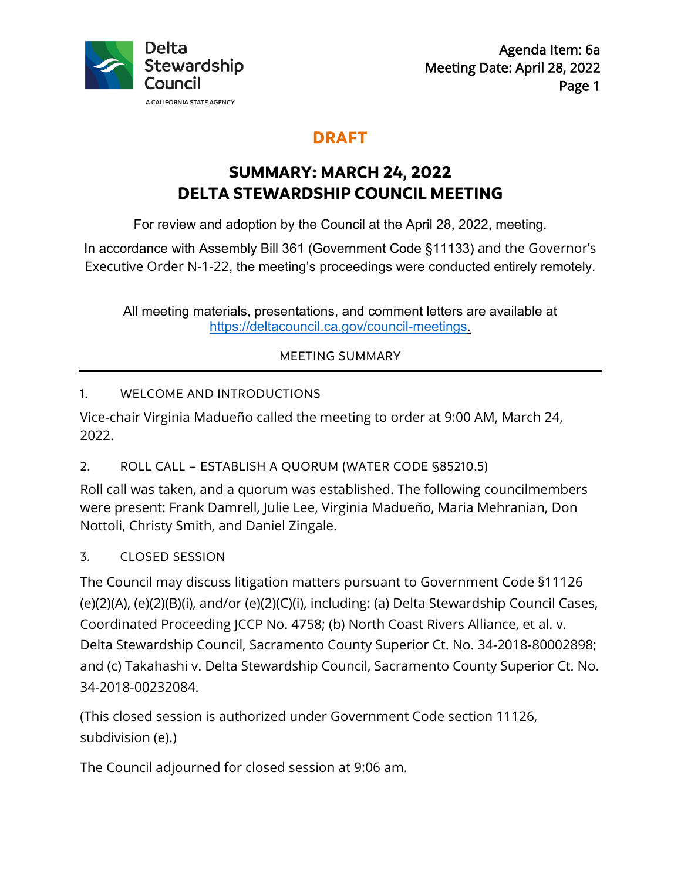

## **DRAFT**

# **SUMMARY: MARCH 24, 2022 DELTA STEWARDSHIP COUNCIL MEETING**

For review and adoption by the Council at the April 28, 2022, meeting.

In accordance with Assembly Bill 361 (Government Code §11133) and the Governor's Executive Order N-1-22, the meeting's proceedings were conducted entirely remotely.

All meeting [materials, presentations, and comment letters are](https://deltacouncil.ca.gov/council-meetings) available at https://deltacouncil.ca.gov/council-meetings.

## MEETING SUMMARY

## 1. WELCOME AND INTRODUCTIONS

Vice-chair Virginia Madueño called the meeting to order at 9:00 AM, March 24, 2022.

## 2. ROLL CALL – ESTABLISH A QUORUM (WATER CODE §85210.5)

 Nottoli, Christy Smith, and Daniel Zingale. Roll call was taken, and a quorum was established. The following councilmembers were present: Frank Damrell, Julie Lee, Virginia Madueño, Maria Mehranian, Don

## 3. CLOSED SESSION

34-2018-00232084. The Council may discuss litigation matters pursuant to Government Code §11126 (e)(2)(A), (e)(2)(B)(i), and/or (e)(2)(C)(i), including: (a) Delta Stewardship Council Cases, Coordinated Proceeding JCCP No. 4758; (b) North Coast Rivers Alliance, et al. v. Delta Stewardship Council, Sacramento County Superior Ct. No. 34-2018-80002898; and (c) Takahashi v. Delta Stewardship Council, Sacramento County Superior Ct. No.

(This closed session is authorized under Government Code section 11126, subdivision (e).)

The Council adjourned for closed session at 9:06 am.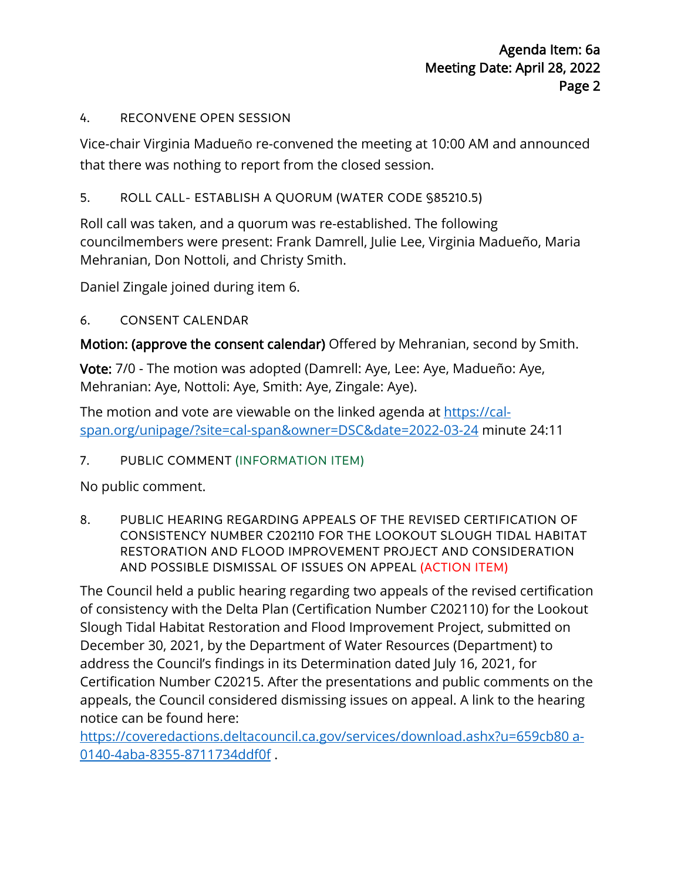#### 4. RECONVENE OPEN SESSION

 that there was nothing to report from the closed session. Vice-chair Virginia Madueño re-convened the meeting at 10:00 AM and announced

## 5. ROLL CALL- ESTABLISH A QUORUM (WATER CODE §85210.5)

Roll call was taken, and a quorum was re-established. The following councilmembers were present: Frank Damrell, Julie Lee, Virginia Madueño, Maria Mehranian, Don Nottoli, and Christy Smith.

Daniel Zingale joined during item 6.

## 6. CONSENT CALENDAR

Motion: (approve the consent calendar) Offered by Mehranian, second by Smith.

 Vote: 7/0 - The motion was adopted (Damrell: Aye, Lee: Aye, Madueño: Aye, Mehranian: Aye, Nottoli: Aye, Smith: Aye, Zingale: Aye).

The motion and vote are viewable on the linked agenda at https://calspan.org/unipage/?site=cal-span&owner=DSC&date=2022-03-24 minute 24:11

## 7. PUBLIC COMMENT (INFORMATION ITEM)

No public comment.

8. PUBLIC HEARING REGARDING APPEALS OF THE REVISED CERTIFICATION OF CONSISTENCY NUMBER C202110 FOR THE LOOKOUT SLOUGH TIDAL HABITAT RESTORATION AND FLOOD IMPROVEMENT PROJECT AND CONSIDERATION AND POSSIBLE DISMISSAL OF ISSUES ON APPEAL (ACTION ITEM)

 address the Council's findings in its Determination dated July 16, 2021, for Certification Number C20215. After the presentations and public comments on the appeals, the Council considered dismissing issues on appeal. A link to the hearing notice can be found here: The Council held a public hearing regarding two appeals of the revised certification of consistency with the Delta Plan (Certification Number C202110) for the Lookout Slough Tidal Habitat Restoration and Flood Improvement Project, submitted on December 30, 2021, by the Department of Water Resources (Department) to

 0140-4aba-8355-8711734ddf0f . https://coveredactions.deltacouncil.ca.gov/services/download.ashx?u=659cb80 a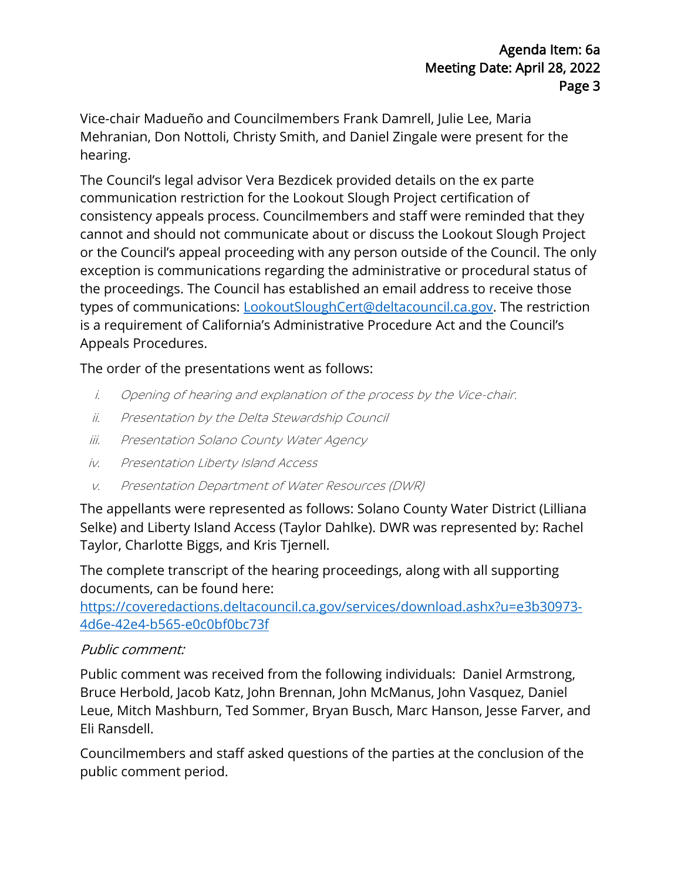hearing. Vice-chair Madueño and Councilmembers Frank Damrell, Julie Lee, Maria Mehranian, Don Nottoli, Christy Smith, and Daniel Zingale were present for the

The Council's legal advisor Vera Bezdicek provided details on the ex parte communication restriction for the Lookout Slough Project certification of consistency appeals process. Councilmembers and staff were reminded that they cannot and should not communicate about or discuss the Lookout Slough Project or the Council's appeal proceeding with any person outside of the Council. The only exception is communications regarding the administrative or procedural status of the proceedings. The Council has established an email address to receive those types of communications: [LookoutSloughCert@deltacouncil.ca.gov](mailto:LookoutSloughCert@deltacouncil.ca.gov). The restriction is a requirement of California's Administrative Procedure Act and the Council's Appeals Procedures.

## The order of the presentations went as follows:

- i. Opening of hearing and explanation of the process by the Vice-chair.<br>ii. Presentation by the Delta Stewardship Council
- 
- iii. Presentation Solano County Water Agency
- iv. Presentation Liberty Island Access
- v. Presentation Department of Water Resources (DWR)

The appellants were represented as follows: Solano County Water District (Lilliana Selke) and Liberty Island Access (Taylor Dahlke). DWR was represented by: Rachel Taylor, Charlotte Biggs, and Kris Tjernell.

The complete transcript of the hearing proceedings, along with all supporting documents, can be found here:

https://coveredactions.deltacouncil.ca.gov/services/download.ashx?u=e3b30973- 4d6e-42e4-b565-e0c0bf0bc73f

## Public comment:

Public comment was received from the following individuals: Daniel Armstrong, Bruce Herbold, Jacob Katz, John Brennan, John McManus, John Vasquez, Daniel Leue, Mitch Mashburn, Ted Sommer, Bryan Busch, Marc Hanson, Jesse Farver, and Eli Ransdell.

Councilmembers and staff asked questions of the parties at the conclusion of the public comment period.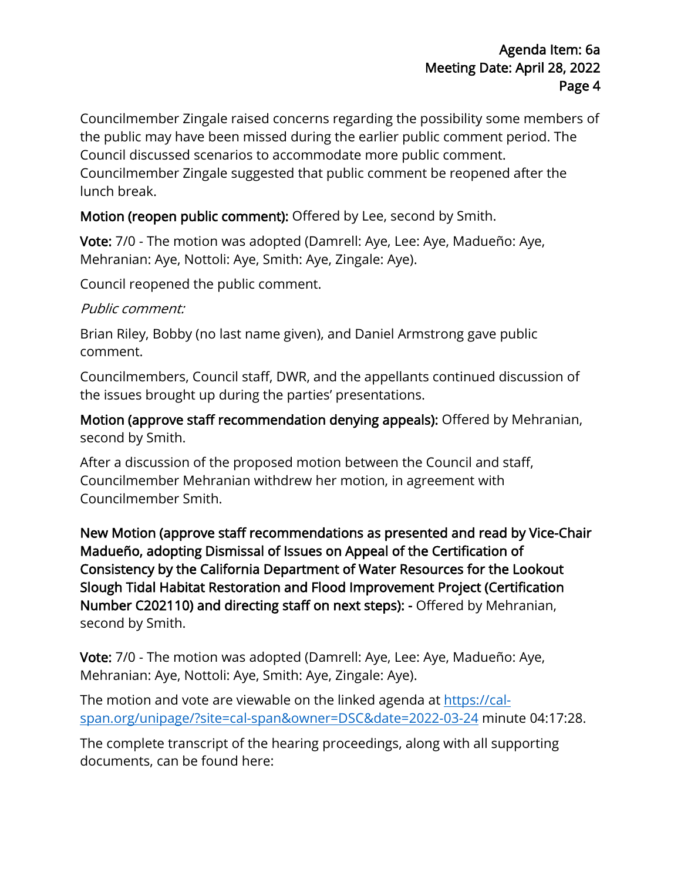Councilmember Zingale raised concerns regarding the possibility some members of the public may have been missed during the earlier public comment period. The Council discussed scenarios to accommodate more public comment. Councilmember Zingale suggested that public comment be reopened after the lunch break.

## Motion (reopen public comment): Offered by Lee, second by Smith.

 Vote: 7/0 - The motion was adopted (Damrell: Aye, Lee: Aye, Madueño: Aye, Mehranian: Aye, Nottoli: Aye, Smith: Aye, Zingale: Aye).<br>Council reopened the public comment.

#### Public comment:

Brian Riley, Bobby (no last name given), and Daniel Armstrong gave public comment.

Councilmembers, Council staff, DWR, and the appellants continued discussion of the issues brought up during the parties' presentations.

 second by Smith. Motion (approve staff recommendation denying appeals): Offered by Mehranian,

 After a discussion of the proposed motion between the Council and staff, Councilmember Mehranian withdrew her motion, in agreement with Councilmember Smith.

 Madueño, adopting Dismissal of Issues on Appeal of the Certification of New Motion (approve staff recommendations as presented and read by Vice-Chair Consistency by the California Department of Water Resources for the Lookout Slough Tidal Habitat Restoration and Flood Improvement Project (Certification Number C202110) and directing staff on next steps): - Offered by Mehranian, second by Smith.

 Vote: 7/0 - The motion was adopted (Damrell: Aye, Lee: Aye, Madueño: Aye, Mehranian: Aye, Nottoli: Aye, Smith: Aye, Zingale: Aye).

The motion and vote are viewable on the linked agenda at https://calspan.org/unipage/?site=cal-span&owner=DSC&date=2022-03-24 minute 04:17:28.

The complete transcript of the hearing proceedings, along with all supporting documents, can be found here: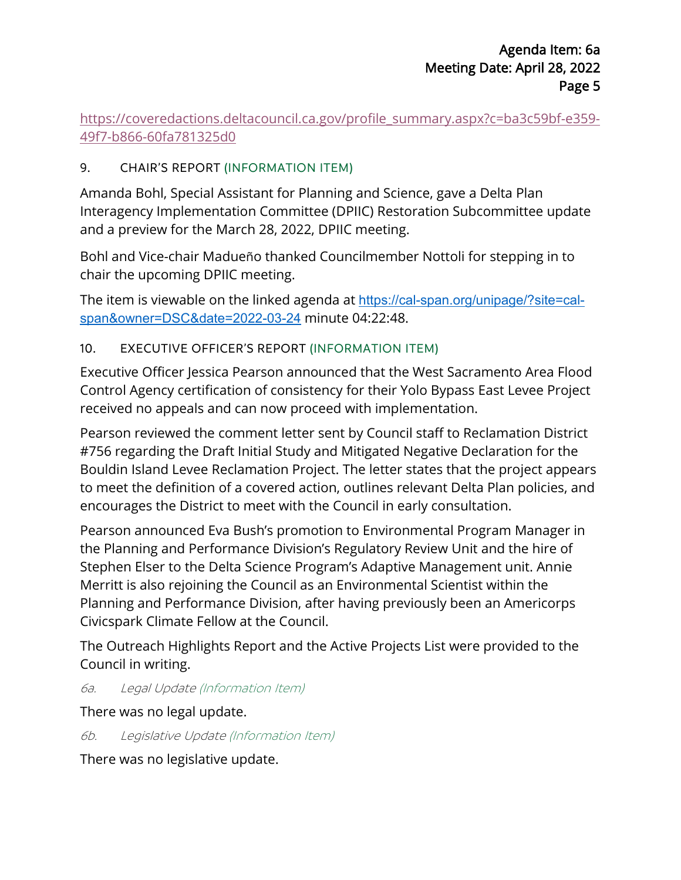https://coveredactions.deltacouncil.ca.gov/profile\_summary.aspx?c=ba3c59bf-e359-49f7-b866-60fa781325d0

#### 9. CHAIR'S REPORT (INFORMATION ITEM)

 Amanda Bohl, Special Assistant for Planning and Science, gave a Delta Plan Interagency Implementation Committee (DPIIC) Restoration Subcommittee update and a preview for the March 28, 2022, DPIIC meeting.

Bohl and Vice-chair Madueño thanked Councilmember Nottoli for stepping in to chair the upcoming DPIIC meeting.

The item is viewable on the linked agenda at https://cal-span.org/unipage/?site=calspan&owner=DSC&date=2022-03-24 minute 04:22:48.

#### 10. EXECUTIVE OFFICER'S REPORT (INFORMATION ITEM)

Executive Officer Jessica Pearson announced that the West Sacramento Area Flood Control Agency certification of consistency for their Yolo Bypass East Levee Project received no appeals and can now proceed with implementation.

Pearson reviewed the comment letter sent by Council staff to Reclamation District #756 regarding the Draft Initial Study and Mitigated Negative Declaration for the Bouldin Island Levee Reclamation Project. The letter states that the project appears to meet the definition of a covered action, outlines relevant Delta Plan policies, and encourages the District to meet with the Council in early consultation.

 Merritt is also rejoining the Council as an Environmental Scientist within the Pearson announced Eva Bush's promotion to Environmental Program Manager in the Planning and Performance Division's Regulatory Review Unit and the hire of Stephen Elser to the Delta Science Program's Adaptive Management unit. Annie Planning and Performance Division, after having previously been an Americorps Civicspark Climate Fellow at the Council.

 The Outreach Highlights Report and the Active Projects List were provided to the Council in writing.

6a. Legal Update (Information Item)

There was no legal update.

6b. Legislative Update (Information Item)

There was no legislative update.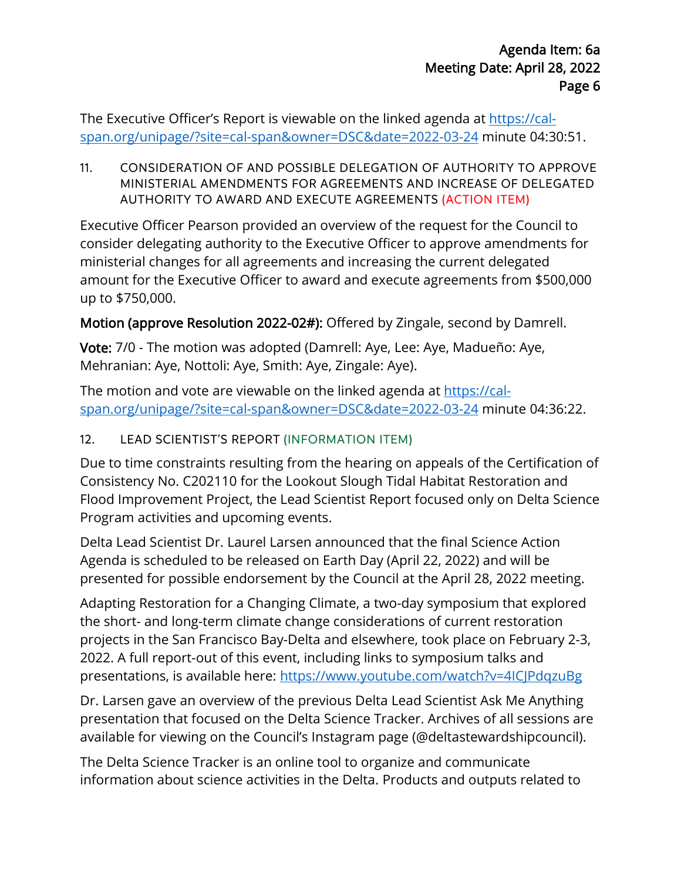The Executive Officer's Report is viewable on the linked agenda at <u>https://cal-</u> [span.org/unipage/?site=cal-span&owner=DSC&date=2022-03-24](https://cal-span.org/unipage/?site=cal-span&owner=DSC&date=2022-03-24) minute 04:30:51.

11. CONSIDERATION OF AND POSSIBLE DELEGATION OF AUTHORITY TO APPROVE MINISTERIAL AMENDMENTS FOR AGREEMENTS AND INCREASE OF DELEGATED AUTHORITY TO AWARD AND EXECUTE AGREEMENTS (ACTION ITEM)

 consider delegating authority to the Executive Officer to approve amendments for Executive Officer Pearson provided an overview of the request for the Council to ministerial changes for all agreements and increasing the current delegated amount for the Executive Officer to award and execute agreements from \$500,000 up to \$750,000.

Motion (approve Resolution 2022-02#): Offered by Zingale, second by Damrell.

 Vote: 7/0 - The motion was adopted (Damrell: Aye, Lee: Aye, Madueño: Aye, Mehranian: Aye, Nottoli: Aye, Smith: Aye, Zingale: Aye).

Mehranian: Aye, Nottoli: Aye, Smith: Aye, Zingale: Aye).<br>The motion and vote are viewable on the linked agenda at <u>https://cal-</u> [span.org/unipage/?site=cal-span&owner=DSC&date=2022-03-24](https://cal-span.org/unipage/?site=cal-span&owner=DSC&date=2022-03-24) minute 04:36:22.

## 12. LEAD SCIENTIST'S REPORT (INFORMATION ITEM)

 Due to time constraints resulting from the hearing on appeals of the Certification of Program activities and upcoming events. Consistency No. C202110 for the Lookout Slough Tidal Habitat Restoration and Flood Improvement Project, the Lead Scientist Report focused only on Delta Science

Program activities and upcoming events.<br>Delta Lead Scientist Dr. Laurel Larsen announced that the final Science Action presented for possible endorsement by the Council at the April 28, 2022 meeting. Agenda is scheduled to be released on Earth Day (April 22, 2022) and will be

Adapting Restoration for a Changing Climate, a two-day symposium that explored the short- and long-term climate change considerations of current restoration projects in the San Francisco Bay-Delta and elsewhere, took place on February 2-3, 2022. A full report-out of this event, including links to symposium talks and presentations, is available here:<https://www.youtube.com/watch?v=4ICJPdqzuBg>

Dr. Larsen gave an overview of the previous Delta Lead Scientist Ask Me Anything presentation that focused on the Delta Science Tracker. Archives of all sessions are available for viewing on the Council's Instagram page (@deltastewardshipcouncil).

 information about science activities in the Delta. Products and outputs related to The Delta Science Tracker is an online tool to organize and communicate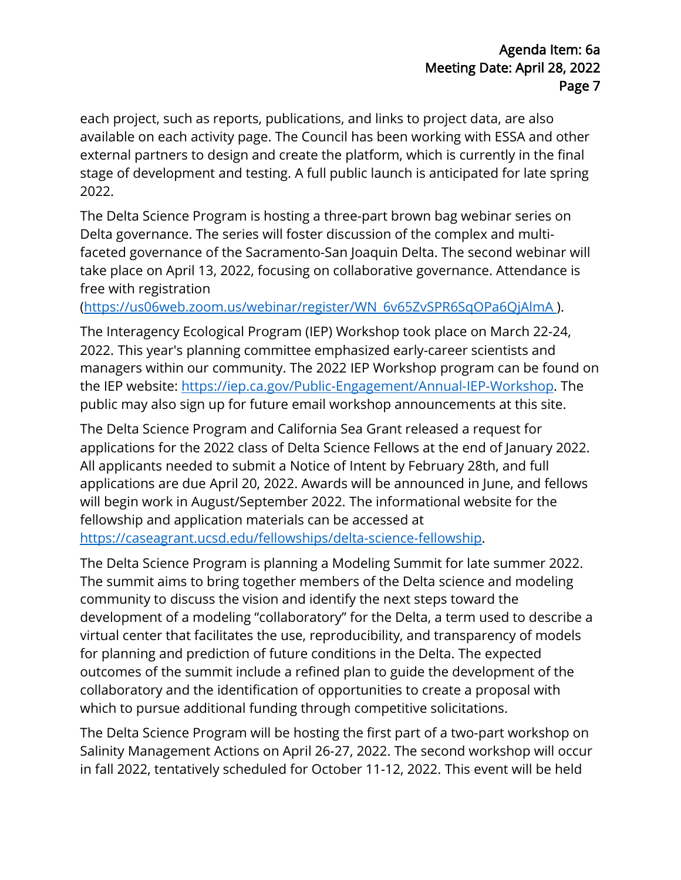each project, such as reports, publications, and links to project data, are also available on each activity page. The Council has been working with ESSA and other external partners to design and create the platform, which is currently in the final stage of development and testing. A full public launch is anticipated for late spring 2022.

The Delta Science Program is hosting a three-part brown bag webinar series on Delta governance. The series will foster discussion of the complex and multifaceted governance of the Sacramento-San Joaquin Delta. The second webinar will take place on April 13, 2022, focusing on collaborative governance. Attendance is free with registration

(https://us06web.zoom.us/webinar/register/WN 6v65ZvSPR6SqOPa6QjAlmA).

The Interagency Ecological Program (IEP) Workshop took place on March 22-24, 2022. This year's planning committee emphasized early-career scientists and managers within our community. The 2022 IEP Workshop program can be found on the IEP website: [https://iep.ca.gov/Public-Engagement/Annual-IEP-Workshop.](https://iep.ca.gov/Public-Engagement/Annual-IEP-Workshop) The public may also sign up for future email workshop announcements at this site.

 All applicants needed to submit a Notice of Intent by February 28th, and full applications are due April 20, 2022. Awards will be announced in June, and fellows https://caseagrant.ucsd.edu/fellowships/delta-science-fellowship. The Delta Science Program and California Sea Grant released a request for applications for the 2022 class of Delta Science Fellows at the end of January 2022. will begin work in August/September 2022. The informational website for the fellowship and application materials can be accessed at

The Delta Science Program is planning a Modeling Summit for late summer 2022. The summit aims to bring together members of the Delta science and modeling community to discuss the vision and identify the next steps toward the development of a modeling "collaboratory" for the Delta, a term used to describe a virtual center that facilitates the use, reproducibility, and transparency of models for planning and prediction of future conditions in the Delta. The expected outcomes of the summit include a refined plan to guide the development of the collaboratory and the identification of opportunities to create a proposal with which to pursue additional funding through competitive solicitations.

 Salinity Management Actions on April 26-27, 2022. The second workshop will occur The Delta Science Program will be hosting the first part of a two-part workshop on in fall 2022, tentatively scheduled for October 11-12, 2022. This event will be held